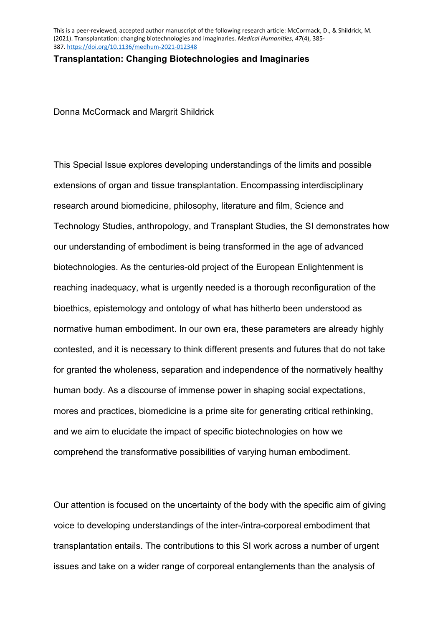## **Transplantation: Changing Biotechnologies and Imaginaries**

Donna McCormack and Margrit Shildrick

This Special Issue explores developing understandings of the limits and possible extensions of organ and tissue transplantation. Encompassing interdisciplinary research around biomedicine, philosophy, literature and film, Science and Technology Studies, anthropology, and Transplant Studies, the SI demonstrates how our understanding of embodiment is being transformed in the age of advanced biotechnologies. As the centuries-old project of the European Enlightenment is reaching inadequacy, what is urgently needed is a thorough reconfiguration of the bioethics, epistemology and ontology of what has hitherto been understood as normative human embodiment. In our own era, these parameters are already highly contested, and it is necessary to think different presents and futures that do not take for granted the wholeness, separation and independence of the normatively healthy human body. As a discourse of immense power in shaping social expectations, mores and practices, biomedicine is a prime site for generating critical rethinking, and we aim to elucidate the impact of specific biotechnologies on how we comprehend the transformative possibilities of varying human embodiment.

Our attention is focused on the uncertainty of the body with the specific aim of giving voice to developing understandings of the inter-/intra-corporeal embodiment that transplantation entails. The contributions to this SI work across a number of urgent issues and take on a wider range of corporeal entanglements than the analysis of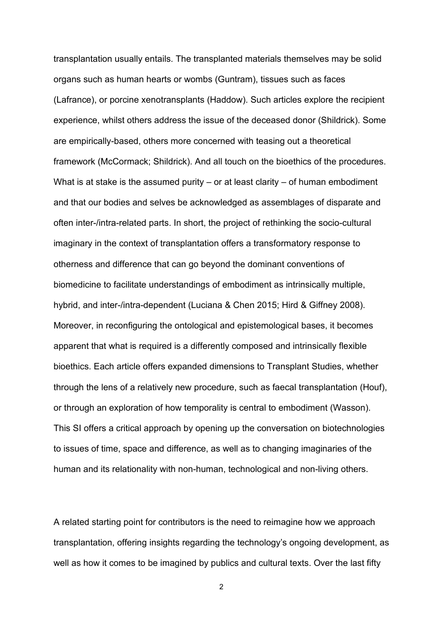transplantation usually entails. The transplanted materials themselves may be solid organs such as human hearts or wombs (Guntram), tissues such as faces (Lafrance), or porcine xenotransplants (Haddow). Such articles explore the recipient experience, whilst others address the issue of the deceased donor (Shildrick). Some are empirically-based, others more concerned with teasing out a theoretical framework (McCormack; Shildrick). And all touch on the bioethics of the procedures. What is at stake is the assumed purity – or at least clarity – of human embodiment and that our bodies and selves be acknowledged as assemblages of disparate and often inter-/intra-related parts. In short, the project of rethinking the socio-cultural imaginary in the context of transplantation offers a transformatory response to otherness and difference that can go beyond the dominant conventions of biomedicine to facilitate understandings of embodiment as intrinsically multiple, hybrid, and inter-/intra-dependent (Luciana & Chen 2015; Hird & Giffney 2008). Moreover, in reconfiguring the ontological and epistemological bases, it becomes apparent that what is required is a differently composed and intrinsically flexible bioethics. Each article offers expanded dimensions to Transplant Studies, whether through the lens of a relatively new procedure, such as faecal transplantation (Houf), or through an exploration of how temporality is central to embodiment (Wasson). This SI offers a critical approach by opening up the conversation on biotechnologies to issues of time, space and difference, as well as to changing imaginaries of the human and its relationality with non-human, technological and non-living others.

A related starting point for contributors is the need to reimagine how we approach transplantation, offering insights regarding the technology's ongoing development, as well as how it comes to be imagined by publics and cultural texts. Over the last fifty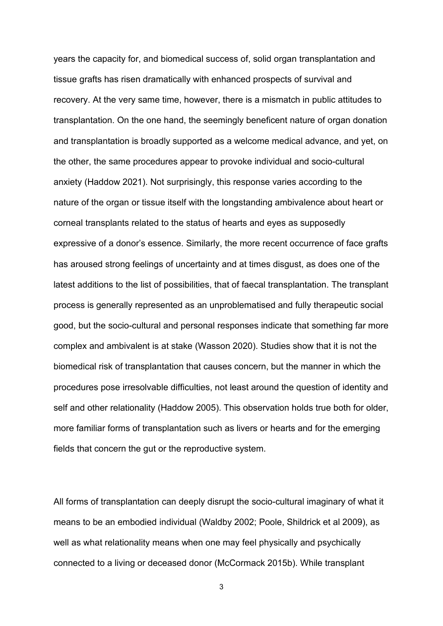years the capacity for, and biomedical success of, solid organ transplantation and tissue grafts has risen dramatically with enhanced prospects of survival and recovery. At the very same time, however, there is a mismatch in public attitudes to transplantation. On the one hand, the seemingly beneficent nature of organ donation and transplantation is broadly supported as a welcome medical advance, and yet, on the other, the same procedures appear to provoke individual and socio-cultural anxiety (Haddow 2021). Not surprisingly, this response varies according to the nature of the organ or tissue itself with the longstanding ambivalence about heart or corneal transplants related to the status of hearts and eyes as supposedly expressive of a donor's essence. Similarly, the more recent occurrence of face grafts has aroused strong feelings of uncertainty and at times disgust, as does one of the latest additions to the list of possibilities, that of faecal transplantation. The transplant process is generally represented as an unproblematised and fully therapeutic social good, but the socio-cultural and personal responses indicate that something far more complex and ambivalent is at stake (Wasson 2020). Studies show that it is not the biomedical risk of transplantation that causes concern, but the manner in which the procedures pose irresolvable difficulties, not least around the question of identity and self and other relationality (Haddow 2005). This observation holds true both for older, more familiar forms of transplantation such as livers or hearts and for the emerging fields that concern the gut or the reproductive system.

All forms of transplantation can deeply disrupt the socio-cultural imaginary of what it means to be an embodied individual (Waldby 2002; Poole, Shildrick et al 2009), as well as what relationality means when one may feel physically and psychically connected to a living or deceased donor (McCormack 2015b). While transplant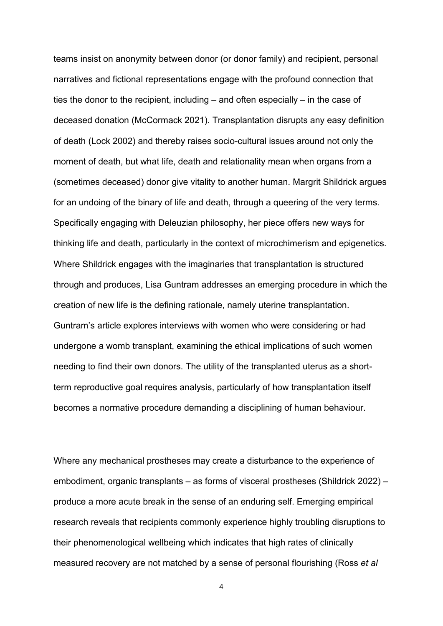teams insist on anonymity between donor (or donor family) and recipient, personal narratives and fictional representations engage with the profound connection that ties the donor to the recipient, including – and often especially – in the case of deceased donation (McCormack 2021). Transplantation disrupts any easy definition of death (Lock 2002) and thereby raises socio-cultural issues around not only the moment of death, but what life, death and relationality mean when organs from a (sometimes deceased) donor give vitality to another human. Margrit Shildrick argues for an undoing of the binary of life and death, through a queering of the very terms. Specifically engaging with Deleuzian philosophy, her piece offers new ways for thinking life and death, particularly in the context of microchimerism and epigenetics. Where Shildrick engages with the imaginaries that transplantation is structured through and produces, Lisa Guntram addresses an emerging procedure in which the creation of new life is the defining rationale, namely uterine transplantation. Guntram's article explores interviews with women who were considering or had undergone a womb transplant, examining the ethical implications of such women needing to find their own donors. The utility of the transplanted uterus as a shortterm reproductive goal requires analysis, particularly of how transplantation itself becomes a normative procedure demanding a disciplining of human behaviour.

Where any mechanical prostheses may create a disturbance to the experience of embodiment, organic transplants – as forms of visceral prostheses (Shildrick 2022) – produce a more acute break in the sense of an enduring self. Emerging empirical research reveals that recipients commonly experience highly troubling disruptions to their phenomenological wellbeing which indicates that high rates of clinically measured recovery are not matched by a sense of personal flourishing (Ross *et al*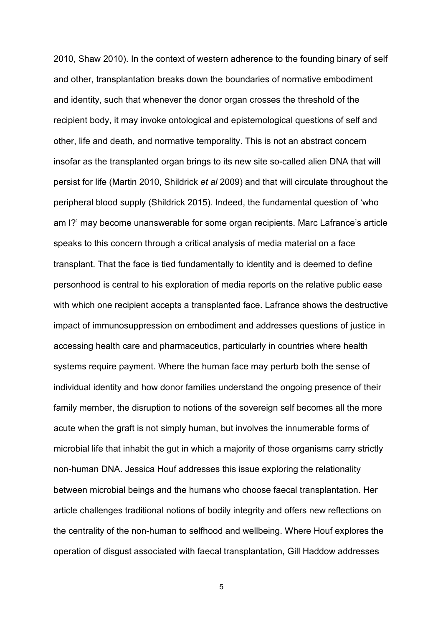2010, Shaw 2010). In the context of western adherence to the founding binary of self and other, transplantation breaks down the boundaries of normative embodiment and identity, such that whenever the donor organ crosses the threshold of the recipient body, it may invoke ontological and epistemological questions of self and other, life and death, and normative temporality. This is not an abstract concern insofar as the transplanted organ brings to its new site so-called alien DNA that will persist for life (Martin 2010, Shildrick *et al* 2009) and that will circulate throughout the peripheral blood supply (Shildrick 2015). Indeed, the fundamental question of 'who am I?' may become unanswerable for some organ recipients. Marc Lafrance's article speaks to this concern through a critical analysis of media material on a face transplant. That the face is tied fundamentally to identity and is deemed to define personhood is central to his exploration of media reports on the relative public ease with which one recipient accepts a transplanted face. Lafrance shows the destructive impact of immunosuppression on embodiment and addresses questions of justice in accessing health care and pharmaceutics, particularly in countries where health systems require payment. Where the human face may perturb both the sense of individual identity and how donor families understand the ongoing presence of their family member, the disruption to notions of the sovereign self becomes all the more acute when the graft is not simply human, but involves the innumerable forms of microbial life that inhabit the gut in which a majority of those organisms carry strictly non-human DNA. Jessica Houf addresses this issue exploring the relationality between microbial beings and the humans who choose faecal transplantation. Her article challenges traditional notions of bodily integrity and offers new reflections on the centrality of the non-human to selfhood and wellbeing. Where Houf explores the operation of disgust associated with faecal transplantation, Gill Haddow addresses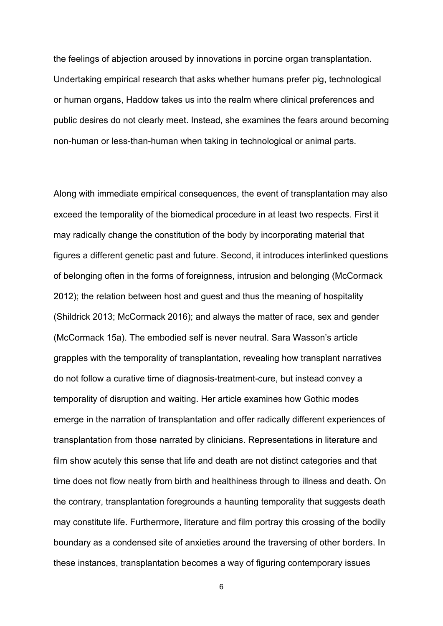the feelings of abjection aroused by innovations in porcine organ transplantation. Undertaking empirical research that asks whether humans prefer pig, technological or human organs, Haddow takes us into the realm where clinical preferences and public desires do not clearly meet. Instead, she examines the fears around becoming non-human or less-than-human when taking in technological or animal parts.

Along with immediate empirical consequences, the event of transplantation may also exceed the temporality of the biomedical procedure in at least two respects. First it may radically change the constitution of the body by incorporating material that figures a different genetic past and future. Second, it introduces interlinked questions of belonging often in the forms of foreignness, intrusion and belonging (McCormack 2012); the relation between host and guest and thus the meaning of hospitality (Shildrick 2013; McCormack 2016); and always the matter of race, sex and gender (McCormack 15a). The embodied self is never neutral. Sara Wasson's article grapples with the temporality of transplantation, revealing how transplant narratives do not follow a curative time of diagnosis-treatment-cure, but instead convey a temporality of disruption and waiting. Her article examines how Gothic modes emerge in the narration of transplantation and offer radically different experiences of transplantation from those narrated by clinicians. Representations in literature and film show acutely this sense that life and death are not distinct categories and that time does not flow neatly from birth and healthiness through to illness and death. On the contrary, transplantation foregrounds a haunting temporality that suggests death may constitute life. Furthermore, literature and film portray this crossing of the bodily boundary as a condensed site of anxieties around the traversing of other borders. In these instances, transplantation becomes a way of figuring contemporary issues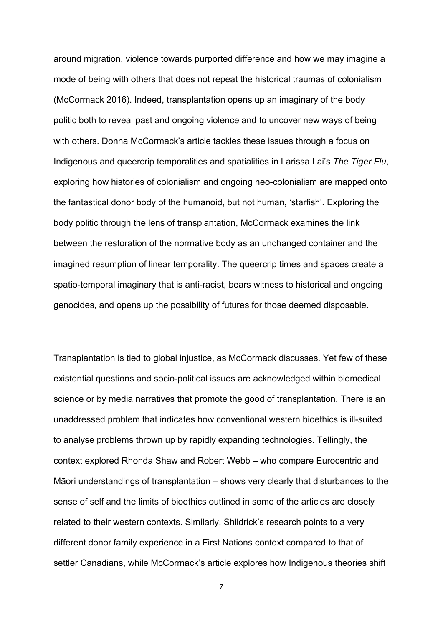around migration, violence towards purported difference and how we may imagine a mode of being with others that does not repeat the historical traumas of colonialism (McCormack 2016). Indeed, transplantation opens up an imaginary of the body politic both to reveal past and ongoing violence and to uncover new ways of being with others. Donna McCormack's article tackles these issues through a focus on Indigenous and queercrip temporalities and spatialities in Larissa Lai's *The Tiger Flu*, exploring how histories of colonialism and ongoing neo-colonialism are mapped onto the fantastical donor body of the humanoid, but not human, 'starfish'. Exploring the body politic through the lens of transplantation, McCormack examines the link between the restoration of the normative body as an unchanged container and the imagined resumption of linear temporality. The queercrip times and spaces create a spatio-temporal imaginary that is anti-racist, bears witness to historical and ongoing genocides, and opens up the possibility of futures for those deemed disposable.

Transplantation is tied to global injustice, as McCormack discusses. Yet few of these existential questions and socio-political issues are acknowledged within biomedical science or by media narratives that promote the good of transplantation. There is an unaddressed problem that indicates how conventional western bioethics is ill-suited to analyse problems thrown up by rapidly expanding technologies. Tellingly, the context explored Rhonda Shaw and Robert Webb – who compare Eurocentric and Māori understandings of transplantation – shows very clearly that disturbances to the sense of self and the limits of bioethics outlined in some of the articles are closely related to their western contexts. Similarly, Shildrick's research points to a very different donor family experience in a First Nations context compared to that of settler Canadians, while McCormack's article explores how Indigenous theories shift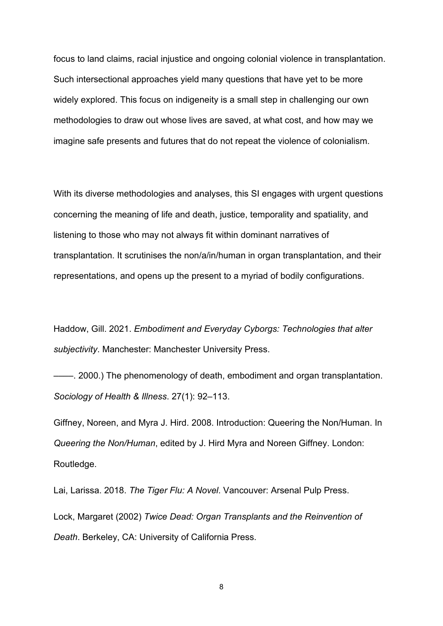focus to land claims, racial injustice and ongoing colonial violence in transplantation. Such intersectional approaches yield many questions that have yet to be more widely explored. This focus on indigeneity is a small step in challenging our own methodologies to draw out whose lives are saved, at what cost, and how may we imagine safe presents and futures that do not repeat the violence of colonialism.

With its diverse methodologies and analyses, this SI engages with urgent questions concerning the meaning of life and death, justice, temporality and spatiality, and listening to those who may not always fit within dominant narratives of transplantation. It scrutinises the non/a/in/human in organ transplantation, and their representations, and opens up the present to a myriad of bodily configurations.

Haddow, Gill. 2021. *Embodiment and Everyday Cyborgs: Technologies that alter subjectivity*. Manchester: Manchester University Press.

––––. 2000.) The phenomenology of death, embodiment and organ transplantation. *Sociology of Health & Illness*. 27(1): 92–113.

Giffney, Noreen, and Myra J. Hird. 2008. Introduction: Queering the Non/Human. In *Queering the Non/Human*, edited by J. Hird Myra and Noreen Giffney. London: Routledge.

Lai, Larissa. 2018. *The Tiger Flu: A Novel*. Vancouver: Arsenal Pulp Press.

Lock, Margaret (2002) *Twice Dead: Organ Transplants and the Reinvention of Death*. Berkeley, CA: University of California Press.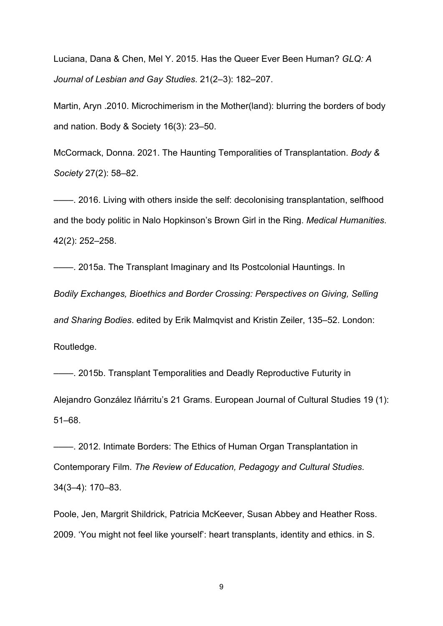Luciana, Dana & Chen, Mel Y. 2015. Has the Queer Ever Been Human? *GLQ: A Journal of Lesbian and Gay Studies*. 21(2–3): 182–207.

Martin, Aryn .2010. Microchimerism in the Mother(land): blurring the borders of body and nation. Body & Society 16(3): 23–50.

McCormack, Donna. 2021. The Haunting Temporalities of Transplantation. *Body & Society* 27(2): 58–82.

––––. 2016. Living with others inside the self: decolonising transplantation, selfhood and the body politic in Nalo Hopkinson's Brown Girl in the Ring. *Medical Humanities*. 42(2): 252–258.

––––. 2015a. The Transplant Imaginary and Its Postcolonial Hauntings. In *Bodily Exchanges, Bioethics and Border Crossing: Perspectives on Giving, Selling and Sharing Bodies*. edited by Erik Malmqvist and Kristin Zeiler, 135–52. London: Routledge.

––––. 2015b. Transplant Temporalities and Deadly Reproductive Futurity in Alejandro González Iñárritu's 21 Grams. European Journal of Cultural Studies 19 (1): 51–68.

––––. 2012. Intimate Borders: The Ethics of Human Organ Transplantation in Contemporary Film. *The Review of Education, Pedagogy and Cultural Studies*. 34(3–4): 170–83.

Poole, Jen, Margrit Shildrick, Patricia McKeever, Susan Abbey and Heather Ross. 2009. 'You might not feel like yourself': heart transplants, identity and ethics. in S.